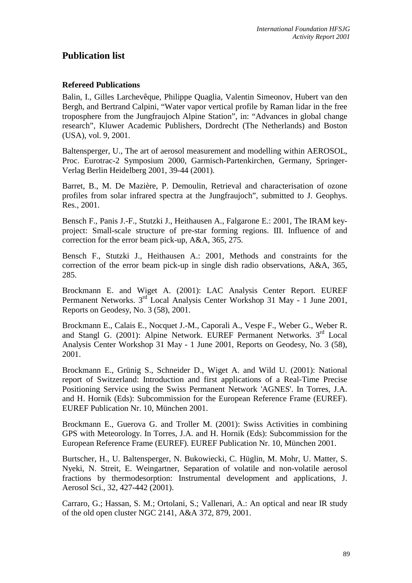# **Publication list**

## **Refereed Publications**

Balin, I., Gilles Larchevêque, Philippe Quaglia, Valentin Simeonov, Hubert van den Bergh, and Bertrand Calpini, "Water vapor vertical profile by Raman lidar in the free troposphere from the Jungfraujoch Alpine Station", in: "Advances in global change research", Kluwer Academic Publishers, Dordrecht (The Netherlands) and Boston (USA), vol. 9, 2001.

Baltensperger, U., The art of aerosol measurement and modelling within AEROSOL, Proc. Eurotrac-2 Symposium 2000, Garmisch-Partenkirchen, Germany, Springer-Verlag Berlin Heidelberg 2001, 39-44 (2001).

Barret, B., M. De Mazière, P. Demoulin, Retrieval and characterisation of ozone profiles from solar infrared spectra at the Jungfraujoch", submitted to J. Geophys. Res., 2001.

Bensch F., Panis J.-F., Stutzki J., Heithausen A., Falgarone E.: 2001, The IRAM keyproject: Small-scale structure of pre-star forming regions. III. Influence of and correction for the error beam pick-up, A&A, 365, 275.

Bensch F., Stutzki J., Heithausen A.: 2001, Methods and constraints for the correction of the error beam pick-up in single dish radio observations, A&A, 365, 285.

Brockmann E. and Wiget A. (2001): LAC Analysis Center Report. EUREF Permanent Networks. 3<sup>rd</sup> Local Analysis Center Workshop 31 May - 1 June 2001, Reports on Geodesy, No. 3 (58), 2001.

Brockmann E., Calais E., Nocquet J.-M., Caporali A., Vespe F., Weber G., Weber R. and Stangl G. (2001): Alpine Network. EUREF Permanent Networks. 3rd Local Analysis Center Workshop 31 May - 1 June 2001, Reports on Geodesy, No. 3 (58), 2001.

Brockmann E., Grünig S., Schneider D., Wiget A. and Wild U. (2001): National report of Switzerland: Introduction and first applications of a Real-Time Precise Positioning Service using the Swiss Permanent Network 'AGNES'. In Torres, J.A. and H. Hornik (Eds): Subcommission for the European Reference Frame (EUREF). EUREF Publication Nr. 10, München 2001.

Brockmann E., Guerova G. and Troller M. (2001): Swiss Activities in combining GPS with Meteorology. In Torres, J.A. and H. Hornik (Eds): Subcommission for the European Reference Frame (EUREF). EUREF Publication Nr. 10, München 2001.

Burtscher, H., U. Baltensperger, N. Bukowiecki, C. Hüglin, M. Mohr, U. Matter, S. Nyeki, N. Streit, E. Weingartner, Separation of volatile and non-volatile aerosol fractions by thermodesorption: Instrumental development and applications, J. Aerosol Sci., 32, 427-442 (2001).

Carraro, G.; Hassan, S. M.; Ortolani, S.; Vallenari, A.: An optical and near IR study of the old open cluster NGC 2141, A&A 372, 879, 2001.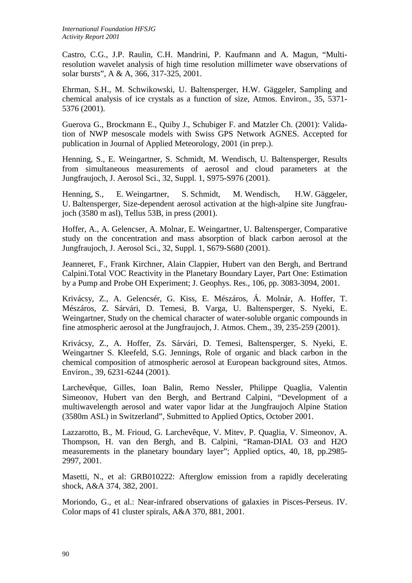Castro, C.G., J.P. Raulin, C.H. Mandrini, P. Kaufmann and A. Magun, "Multiresolution wavelet analysis of high time resolution millimeter wave observations of solar bursts", A & A, 366, 317-325, 2001.

Ehrman, S.H., M. Schwikowski, U. Baltensperger, H.W. Gäggeler, Sampling and chemical analysis of ice crystals as a function of size, Atmos. Environ., 35, 5371- 5376 (2001).

Guerova G., Brockmann E., Quiby J., Schubiger F. and Matzler Ch. (2001): Validation of NWP mesoscale models with Swiss GPS Network AGNES. Accepted for publication in Journal of Applied Meteorology, 2001 (in prep.).

Henning, S., E. Weingartner, S. Schmidt, M. Wendisch, U. Baltensperger, Results from simultaneous measurements of aerosol and cloud parameters at the Jungfraujoch, J. Aerosol Sci., 32, Suppl. 1, S975-S976 (2001).

Henning, S., E. Weingartner, S. Schmidt, M. Wendisch, H.W. Gäggeler, U. Baltensperger, Size-dependent aerosol activation at the high-alpine site Jungfraujoch (3580 m asl), Tellus 53B, in press (2001).

Hoffer, A., A. Gelencser, A. Molnar, E. Weingartner, U. Baltensperger, Comparative study on the concentration and mass absorption of black carbon aerosol at the Jungfraujoch, J. Aerosol Sci., 32, Suppl. 1, S679-S680 (2001).

Jeanneret, F., Frank Kirchner, Alain Clappier, Hubert van den Bergh, and Bertrand Calpini.Total VOC Reactivity in the Planetary Boundary Layer, Part One: Estimation by a Pump and Probe OH Experiment; J. Geophys. Res., 106, pp. 3083-3094, 2001.

Krivácsy, Z., A. Gelencsér, G. Kiss, E. Mészáros, Á. Molnár, A. Hoffer, T. Mészáros, Z. Sárvári, D. Temesi, B. Varga, U. Baltensperger, S. Nyeki, E. Weingartner, Study on the chemical character of water-soluble organic compounds in fine atmospheric aerosol at the Jungfraujoch, J. Atmos. Chem., 39, 235-259 (2001).

Krivácsy, Z., A. Hoffer, Zs. Sárvári, D. Temesi, Baltensperger, S. Nyeki, E. Weingartner S. Kleefeld, S.G. Jennings, Role of organic and black carbon in the chemical composition of atmospheric aerosol at European background sites, Atmos. Environ., 39, 6231-6244 (2001).

Larchevêque, Gilles, Ioan Balin, Remo Nessler, Philippe Quaglia, Valentin Simeonov, Hubert van den Bergh, and Bertrand Calpini, "Development of a multiwavelength aerosol and water vapor lidar at the Jungfraujoch Alpine Station (3580m ASL) in Switzerland", Submitted to Applied Optics, October 2001.

Lazzarotto, B., M. Frioud, G. Larchevêque, V. Mitev, P. Quaglia, V. Simeonov, A. Thompson, H. van den Bergh, and B. Calpini, "Raman-DIAL O3 and H2O measurements in the planetary boundary layer"; Applied optics, 40, 18, pp.2985- 2997, 2001.

Masetti, N., et al: GRB010222: Afterglow emission from a rapidly decelerating shock, A&A 374, 382, 2001.

Moriondo, G., et al.: Near-infrared observations of galaxies in Pisces-Perseus. IV. Color maps of 41 cluster spirals, A&A 370, 881, 2001.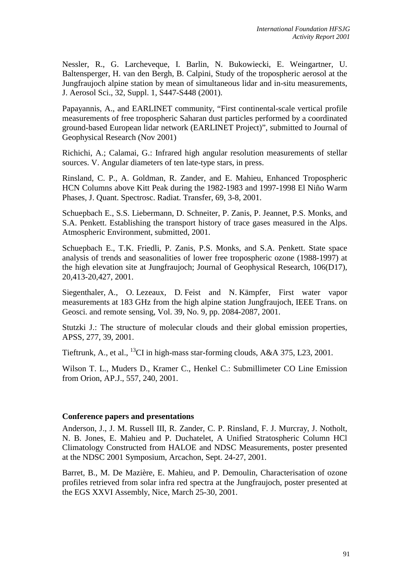Nessler, R., G. Larcheveque, I. Barlin, N. Bukowiecki, E. Weingartner, U. Baltensperger, H. van den Bergh, B. Calpini, Study of the tropospheric aerosol at the Jungfraujoch alpine station by mean of simultaneous lidar and in-situ measurements, J. Aerosol Sci., 32, Suppl. 1, S447-S448 (2001).

Papayannis, A., and EARLINET community, "First continental-scale vertical profile measurements of free tropospheric Saharan dust particles performed by a coordinated ground-based European lidar network (EARLINET Project)", submitted to Journal of Geophysical Research (Nov 2001)

Richichi, A.; Calamai, G.: Infrared high angular resolution measurements of stellar sources. V. Angular diameters of ten late-type stars, in press.

Rinsland, C. P., A. Goldman, R. Zander, and E. Mahieu, Enhanced Tropospheric HCN Columns above Kitt Peak during the 1982-1983 and 1997-1998 El Niño Warm Phases, J. Quant. Spectrosc. Radiat. Transfer, 69, 3-8, 2001.

Schuepbach E., S.S. Liebermann, D. Schneiter, P. Zanis, P. Jeannet, P.S. Monks, and S.A. Penkett. Establishing the transport history of trace gases measured in the Alps. Atmospheric Environment, submitted, 2001.

Schuepbach E., T.K. Friedli, P. Zanis, P.S. Monks, and S.A. Penkett. State space analysis of trends and seasonalities of lower free tropospheric ozone (1988-1997) at the high elevation site at Jungfraujoch; Journal of Geophysical Research, 106(D17), 20,413-20,427, 2001.

Siegenthaler, A., O. Lezeaux, D. Feist and N. Kämpfer, First water vapor measurements at 183 GHz from the high alpine station Jungfraujoch, IEEE Trans. on Geosci. and remote sensing, Vol. 39, No. 9, pp. 2084-2087, 2001.

Stutzki J.: The structure of molecular clouds and their global emission properties, APSS, 277, 39, 2001.

Tieftrunk, A., et al., <sup>13</sup>CI in high-mass star-forming clouds,  $A&A$  375, L23, 2001.

Wilson T. L., Muders D., Kramer C., Henkel C.: Submillimeter CO Line Emission from Orion, AP.J., 557, 240, 2001.

#### **Conference papers and presentations**

Anderson, J., J. M. Russell III, R. Zander, C. P. Rinsland, F. J. Murcray, J. Notholt, N. B. Jones, E. Mahieu and P. Duchatelet, A Unified Stratospheric Column HCl Climatology Constructed from HALOE and NDSC Measurements, poster presented at the NDSC 2001 Symposium, Arcachon, Sept. 24-27, 2001.

Barret, B., M. De Mazière, E. Mahieu, and P. Demoulin, Characterisation of ozone profiles retrieved from solar infra red spectra at the Jungfraujoch, poster presented at the EGS XXVI Assembly, Nice, March 25-30, 2001.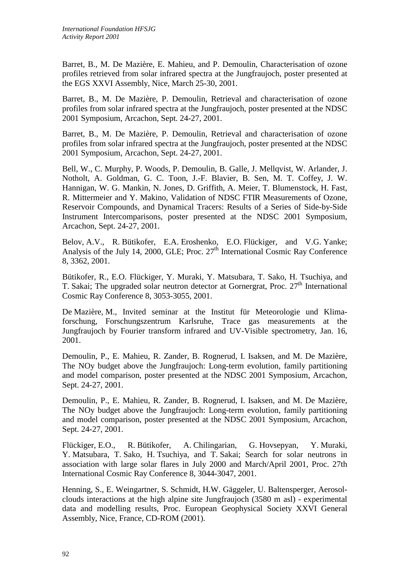Barret, B., M. De Mazière, E. Mahieu, and P. Demoulin, Characterisation of ozone profiles retrieved from solar infrared spectra at the Jungfraujoch, poster presented at the EGS XXVI Assembly, Nice, March 25-30, 2001.

Barret, B., M. De Mazière, P. Demoulin, Retrieval and characterisation of ozone profiles from solar infrared spectra at the Jungfraujoch, poster presented at the NDSC 2001 Symposium, Arcachon, Sept. 24-27, 2001.

Barret, B., M. De Mazière, P. Demoulin, Retrieval and characterisation of ozone profiles from solar infrared spectra at the Jungfraujoch, poster presented at the NDSC 2001 Symposium, Arcachon, Sept. 24-27, 2001.

Bell, W., C. Murphy, P. Woods, P. Demoulin, B. Galle, J. Mellqvist, W. Arlander, J. Notholt, A. Goldman, G. C. Toon, J.-F. Blavier, B. Sen, M. T. Coffey, J. W. Hannigan, W. G. Mankin, N. Jones, D. Griffith, A. Meier, T. Blumenstock, H. Fast, R. Mittermeier and Y. Makino, Validation of NDSC FTIR Measurements of Ozone, Reservoir Compounds, and Dynamical Tracers: Results of a Series of Side-by-Side Instrument Intercomparisons, poster presented at the NDSC 2001 Symposium, Arcachon, Sept. 24-27, 2001.

Belov, A.V., R. Bütikofer, E.A. Eroshenko, E.O. Flückiger, and V.G. Yanke; Analysis of the July 14, 2000, GLE; Proc. 27<sup>th</sup> International Cosmic Ray Conference 8, 3362, 2001.

Bütikofer, R., E.O. Flückiger, Y. Muraki, Y. Matsubara, T. Sako, H. Tsuchiya, and T. Sakai; The upgraded solar neutron detector at Gornergrat, Proc.  $27<sup>th</sup>$  International Cosmic Ray Conference 8, 3053-3055, 2001.

De Mazière, M., Invited seminar at the Institut für Meteorologie und Klimaforschung, Forschungszentrum Karlsruhe, Trace gas measurements at the Jungfraujoch by Fourier transform infrared and UV-Visible spectrometry, Jan. 16, 2001.

Demoulin, P., E. Mahieu, R. Zander, B. Rognerud, I. Isaksen, and M. De Mazière, The NOy budget above the Jungfraujoch: Long-term evolution, family partitioning and model comparison, poster presented at the NDSC 2001 Symposium, Arcachon, Sept. 24-27, 2001.

Demoulin, P., E. Mahieu, R. Zander, B. Rognerud, I. Isaksen, and M. De Mazière, The NOy budget above the Jungfraujoch: Long-term evolution, family partitioning and model comparison, poster presented at the NDSC 2001 Symposium, Arcachon, Sept. 24-27, 2001.

Flückiger, E.O., R. Bütikofer, A. Chilingarian, G. Hovsepyan, Y. Muraki, Y. Matsubara, T. Sako, H. Tsuchiya, and T. Sakai; Search for solar neutrons in association with large solar flares in July 2000 and March/April 2001, Proc. 27th International Cosmic Ray Conference 8, 3044-3047, 2001.

Henning, S., E. Weingartner, S. Schmidt, H.W. Gäggeler, U. Baltensperger, Aerosolclouds interactions at the high alpine site Jungfraujoch (3580 m asl) - experimental data and modelling results, Proc. European Geophysical Society XXVI General Assembly, Nice, France, CD-ROM (2001).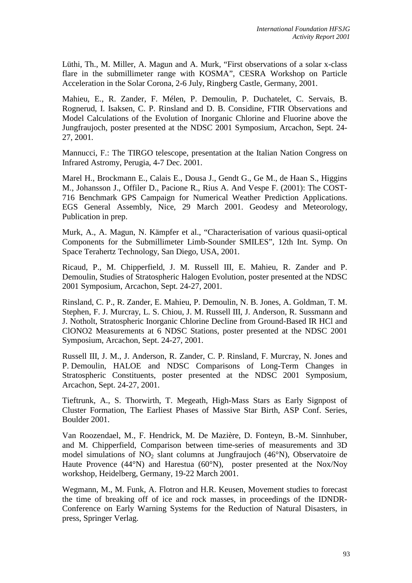Lüthi, Th., M. Miller, A. Magun and A. Murk, "First observations of a solar x-class flare in the submillimeter range with KOSMA", CESRA Workshop on Particle Acceleration in the Solar Corona, 2-6 July, Ringberg Castle, Germany, 2001.

Mahieu, E., R. Zander, F. Mélen, P. Demoulin, P. Duchatelet, C. Servais, B. Rognerud, I. Isaksen, C. P. Rinsland and D. B. Considine, FTIR Observations and Model Calculations of the Evolution of Inorganic Chlorine and Fluorine above the Jungfraujoch, poster presented at the NDSC 2001 Symposium, Arcachon, Sept. 24- 27, 2001.

Mannucci, F.: The TIRGO telescope, presentation at the Italian Nation Congress on Infrared Astromy, Perugia, 4-7 Dec. 2001.

Marel H., Brockmann E., Calais E., Dousa J., Gendt G., Ge M., de Haan S., Higgins M., Johansson J., Offiler D., Pacione R., Rius A. And Vespe F. (2001): The COST-716 Benchmark GPS Campaign for Numerical Weather Prediction Applications. EGS General Assembly, Nice, 29 March 2001. Geodesy and Meteorology, Publication in prep.

Murk, A., A. Magun, N. Kämpfer et al., "Characterisation of various quasii-optical Components for the Submillimeter Limb-Sounder SMILES", 12th Int. Symp. On Space Terahertz Technology, San Diego, USA, 2001.

Ricaud, P., M. Chipperfield, J. M. Russell III, E. Mahieu, R. Zander and P. Demoulin, Studies of Stratospheric Halogen Evolution, poster presented at the NDSC 2001 Symposium, Arcachon, Sept. 24-27, 2001.

Rinsland, C. P., R. Zander, E. Mahieu, P. Demoulin, N. B. Jones, A. Goldman, T. M. Stephen, F. J. Murcray, L. S. Chiou, J. M. Russell III, J. Anderson, R. Sussmann and J. Notholt, Stratospheric Inorganic Chlorine Decline from Ground-Based IR HCl and ClONO2 Measurements at 6 NDSC Stations, poster presented at the NDSC 2001 Symposium, Arcachon, Sept. 24-27, 2001.

Russell III, J. M., J. Anderson, R. Zander, C. P. Rinsland, F. Murcray, N. Jones and P. Demoulin, HALOE and NDSC Comparisons of Long-Term Changes in Stratospheric Constituents, poster presented at the NDSC 2001 Symposium, Arcachon, Sept. 24-27, 2001.

Tieftrunk, A., S. Thorwirth, T. Megeath, High-Mass Stars as Early Signpost of Cluster Formation, The Earliest Phases of Massive Star Birth, ASP Conf. Series, Boulder 2001.

Van Roozendael, M., F. Hendrick, M. De Mazière, D. Fonteyn, B.-M. Sinnhuber, and M. Chipperfield, Comparison between time-series of measurements and 3D model simulations of  $NO<sub>2</sub>$  slant columns at Jungfraujoch (46 $\degree$ N), Observatoire de Haute Provence (44°N) and Harestua (60°N), poster presented at the Nox/Noy workshop, Heidelberg, Germany, 19-22 March 2001.

Wegmann, M., M. Funk, A. Flotron and H.R. Keusen, Movement studies to forecast the time of breaking off of ice and rock masses, in proceedings of the IDNDR-Conference on Early Warning Systems for the Reduction of Natural Disasters, in press, Springer Verlag.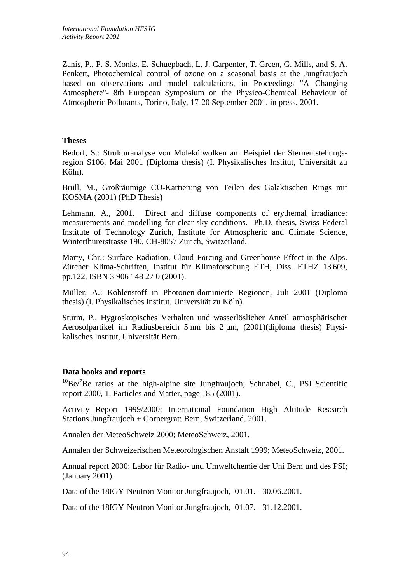Zanis, P., P. S. Monks, E. Schuepbach, L. J. Carpenter, T. Green, G. Mills, and S. A. Penkett, Photochemical control of ozone on a seasonal basis at the Jungfraujoch based on observations and model calculations, in Proceedings "A Changing Atmosphere"- 8th European Symposium on the Physico-Chemical Behaviour of Atmospheric Pollutants, Torino, Italy, 17-20 September 2001, in press, 2001.

### **Theses**

Bedorf, S.: Strukturanalyse von Molekülwolken am Beispiel der Sternentstehungsregion S106, Mai 2001 (Diploma thesis) (I. Physikalisches Institut, Universität zu Köln).

Brüll, M., Großräumige CO-Kartierung von Teilen des Galaktischen Rings mit KOSMA (2001) (PhD Thesis)

Lehmann, A., 2001. Direct and diffuse components of erythemal irradiance: measurements and modelling for clear-sky conditions. Ph.D. thesis, Swiss Federal Institute of Technology Zurich, Institute for Atmospheric and Climate Science, Winterthurerstrasse 190, CH-8057 Zurich, Switzerland.

Marty, Chr.: Surface Radiation, Cloud Forcing and Greenhouse Effect in the Alps. Zürcher Klima-Schriften, Institut für Klimaforschung ETH, Diss. ETHZ 13'609, pp.122, ISBN 3 906 148 27 0 (2001).

Müller, A.: Kohlenstoff in Photonen-dominierte Regionen, Juli 2001 (Diploma thesis) (I. Physikalisches Institut, Universität zu Köln).

Sturm, P., Hygroskopisches Verhalten und wasserlöslicher Anteil atmosphärischer Aerosolpartikel im Radiusbereich 5 nm bis 2 µm, (2001)(diploma thesis) Physikalisches Institut, Universität Bern.

### **Data books and reports**

 $10$ Be/ $7$ Be ratios at the high-alpine site Jungfraujoch; Schnabel, C., PSI Scientific report 2000, 1, Particles and Matter, page 185 (2001).

Activity Report 1999/2000; International Foundation High Altitude Research Stations Jungfraujoch + Gornergrat; Bern, Switzerland, 2001.

Annalen der MeteoSchweiz 2000; MeteoSchweiz, 2001.

Annalen der Schweizerischen Meteorologischen Anstalt 1999; MeteoSchweiz, 2001.

Annual report 2000: Labor für Radio- und Umweltchemie der Uni Bern und des PSI; (January 2001).

Data of the 18IGY-Neutron Monitor Jungfraujoch, 01.01. - 30.06.2001.

Data of the 18IGY-Neutron Monitor Jungfraujoch, 01.07. - 31.12.2001.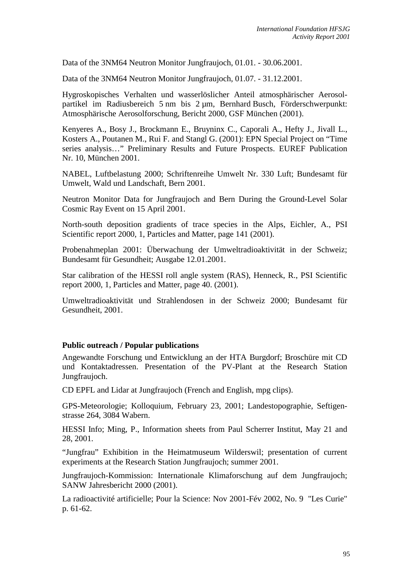Data of the 3NM64 Neutron Monitor Jungfraujoch, 01.01. - 30.06.2001.

Data of the 3NM64 Neutron Monitor Jungfraujoch, 01.07. - 31.12.2001.

Hygroskopisches Verhalten und wasserlöslicher Anteil atmosphärischer Aerosolpartikel im Radiusbereich 5 nm bis 2 µm, Bernhard Busch, Förderschwerpunkt: Atmosphärische Aerosolforschung, Bericht 2000, GSF München (2001).

Kenyeres A., Bosy J., Brockmann E., Bruyninx C., Caporali A., Hefty J., Jivall L., Kosters A., Poutanen M., Rui F. and Stangl G. (2001): EPN Special Project on "Time series analysis…" Preliminary Results and Future Prospects. EUREF Publication Nr. 10, München 2001.

NABEL, Luftbelastung 2000; Schriftenreihe Umwelt Nr. 330 Luft; Bundesamt für Umwelt, Wald und Landschaft, Bern 2001.

Neutron Monitor Data for Jungfraujoch and Bern During the Ground-Level Solar Cosmic Ray Event on 15 April 2001.

North-south deposition gradients of trace species in the Alps, Eichler, A., PSI Scientific report 2000, 1, Particles and Matter, page 141 (2001).

Probenahmeplan 2001: Überwachung der Umweltradioaktivität in der Schweiz; Bundesamt für Gesundheit; Ausgabe 12.01.2001.

Star calibration of the HESSI roll angle system (RAS), Henneck, R., PSI Scientific report 2000, 1, Particles and Matter, page 40. (2001).

Umweltradioaktivität und Strahlendosen in der Schweiz 2000; Bundesamt für Gesundheit, 2001.

#### **Public outreach / Popular publications**

Angewandte Forschung und Entwicklung an der HTA Burgdorf; Broschüre mit CD und Kontaktadressen. Presentation of the PV-Plant at the Research Station Jungfraujoch.

CD EPFL and Lidar at Jungfraujoch (French and English, mpg clips).

GPS-Meteorologie; Kolloquium, February 23, 2001; Landestopographie, Seftigenstrasse 264, 3084 Wabern.

HESSI Info; Ming, P., Information sheets from Paul Scherrer Institut, May 21 and 28, 2001.

"Jungfrau" Exhibition in the Heimatmuseum Wilderswil; presentation of current experiments at the Research Station Jungfraujoch; summer 2001.

Jungfraujoch-Kommission: Internationale Klimaforschung auf dem Jungfraujoch; SANW Jahresbericht 2000 (2001).

La radioactivité artificielle; Pour la Science: Nov 2001-Fév 2002, No. 9 "Les Curie" p. 61-62.